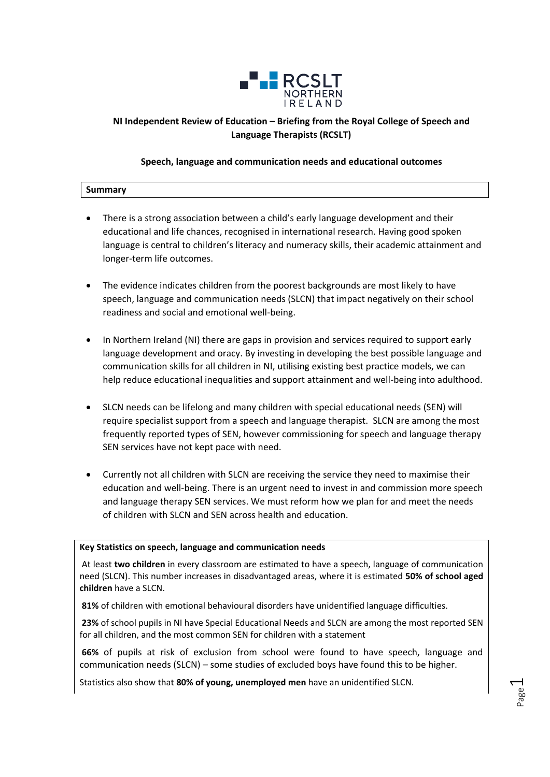

### **NI Independent Review of Education – Briefing from the Royal College of Speech and Language Therapists (RCSLT)**

#### **Speech, language and communication needs and educational outcomes**

| -       |  |  |
|---------|--|--|
| Summary |  |  |
|         |  |  |
|         |  |  |
|         |  |  |
|         |  |  |
|         |  |  |

- There is a strong association between a child's early language development and their educational and life chances, recognised in international research. Having good spoken language is central to children's literacy and numeracy skills, their academic attainment and longer-term life outcomes.
- The evidence indicates children from the poorest backgrounds are most likely to have speech, language and communication needs (SLCN) that impact negatively on their school readiness and social and emotional well-being.
- In Northern Ireland (NI) there are gaps in provision and services required to support early language development and oracy. By investing in developing the best possible language and communication skills for all children in NI, utilising existing best practice models, we can help reduce educational inequalities and support attainment and well-being into adulthood.
- SLCN needs can be lifelong and many children with special educational needs (SEN) will require specialist support from a speech and language therapist. SLCN are among the most frequently reported types of SEN, however commissioning for speech and language therapy SEN services have not kept pace with need.
- Currently not all children with SLCN are receiving the service they need to maximise their education and well-being. There is an urgent need to invest in and commission more speech and language therapy SEN services. We must reform how we plan for and meet the needs of children with SLCN and SEN across health and education.

#### **Key Statistics on speech, language and communication needs**

At least **two children** in every classroom are estimated to have a speech, language of communication need (SLCN). This number increases in disadvantaged areas, where it is estimated **50% of school aged children** have a SLCN.

**81%** of children with emotional behavioural disorders have unidentified language difficulties.

**23%** of school pupils in NI have Special Educational Needs and SLCN are among the most reported SEN for all children, and the most common SEN for children with a statement

**66%** of pupils at risk of exclusion from school were found to have speech, language and communication needs (SLCN) – some studies of excluded boys have found this to be higher.

Statistics also show that **80% of young, unemployed men** have an unidentified SLCN.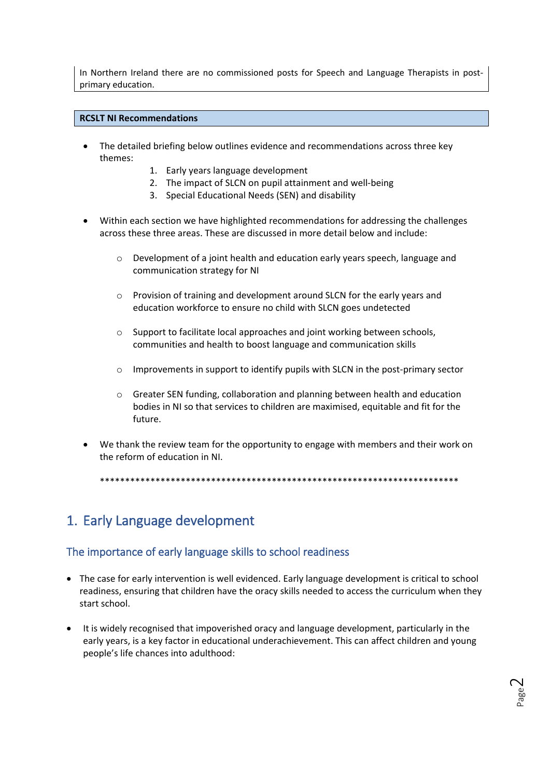In Northern Ireland there are no commissioned posts for Speech and Language Therapists in postprimary education.

#### **RCSLT NI Recommendations**

- The detailed briefing below outlines evidence and recommendations across three key themes:
	- 1. Early years language development
	- 2. The impact of SLCN on pupil attainment and well-being
	- 3. Special Educational Needs (SEN) and disability
- Within each section we have highlighted recommendations for addressing the challenges across these three areas. These are discussed in more detail below and include:
	- o Development of a joint health and education early years speech, language and communication strategy for NI
	- o Provision of training and development around SLCN for the early years and education workforce to ensure no child with SLCN goes undetected
	- o Support to facilitate local approaches and joint working between schools, communities and health to boost language and communication skills
	- o Improvements in support to identify pupils with SLCN in the post-primary sector
	- o Greater SEN funding, collaboration and planning between health and education bodies in NI so that services to children are maximised, equitable and fit for the future.
- We thank the review team for the opportunity to engage with members and their work on the reform of education in NI.

\*\*\*\*\*\*\*\*\*\*\*\*\*\*\*\*\*\*\*\*\*\*\*\*\*\*\*\*\*\*\*\*\*\*\*\*\*\*\*\*\*\*\*\*\*\*\*\*\*\*\*\*\*\*\*\*\*\*\*\*\*\*\*\*\*\*\*\*\*\*\*

# 1. Early Language development

### The importance of early language skills to school readiness

- The case for early intervention is well evidenced. Early language development is critical to school readiness, ensuring that children have the oracy skills needed to access the curriculum when they start school.
- It is widely recognised that impoverished oracy and language development, particularly in the early years, is a key factor in educational underachievement. This can affect children and young people's life chances into adulthood: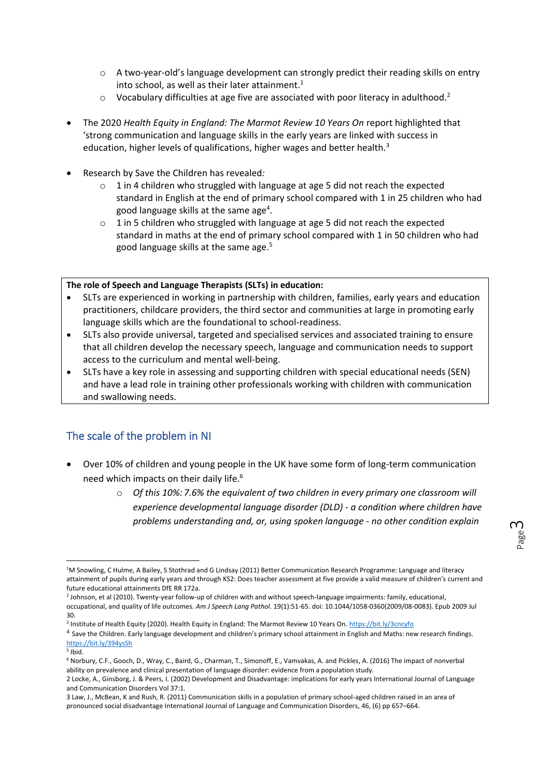- o A two-year-old's language development can strongly predict their reading skills on entry into school, as well as their later attainment. $1$
- $\circ$  Vocabulary difficulties at age five are associated with poor literacy in adulthood.<sup>2</sup>
- The 2020 *Health Equity in England: The Marmot Review 10 Years On* report highlighted that 'strong communication and language skills in the early years are linked with success in education, higher levels of qualifications, higher wages and better health.<sup>3</sup>
- Research by Save the Children has revealed*:*
	- $\circ$  1 in 4 children who struggled with language at age 5 did not reach the expected standard in English at the end of primary school compared with 1 in 25 children who had good language skills at the same age<sup>4</sup>.
	- o 1 in 5 children who struggled with language at age 5 did not reach the expected standard in maths at the end of primary school compared with 1 in 50 children who had good language skills at the same age.<sup>5</sup>

#### **The role of Speech and Language Therapists (SLTs) in education:**

- SLTs are experienced in working in partnership with children, families, early years and education practitioners, childcare providers, the third sector and communities at large in promoting early language skills which are the foundational to school-readiness.
- SLTs also provide universal, targeted and specialised services and associated training to ensure that all children develop the necessary speech, language and communication needs to support access to the curriculum and mental well-being.
- SLTs have a key role in assessing and supporting children with special educational needs (SEN) and have a lead role in training other professionals working with children with communication and swallowing needs.

## The scale of the problem in NI

- Over 10% of children and young people in the UK have some form of long-term communication need which impacts on their daily life.<sup>6</sup>
	- o *Of this 10%: 7.6% the equivalent of two children in every primary one classroom will experience developmental language disorder (DLD) - a condition where children have problems understanding and, or, using spoken language - no other condition explain*

<sup>1</sup>M Snowling, C Hulme, A Bailey, S Stothrad and G Lindsay (2011) Better Communication Research Programme: Language and literacy attainment of pupils during early years and through KS2: Does teacher assessment at five provide a valid measure of children's current and future educational attainments DfE RR 172a.

<sup>2</sup> Johnson, et al (2010). Twenty-year follow-up of children with and without speech-language impairments: family, educational, occupational, and quality of life outcomes. *Am J Speech Lang Pathol*. 19(1):51-65. doi: 10.1044/1058-0360(2009/08-0083). Epub 2009 Jul 30.

<sup>&</sup>lt;sup>3</sup> Institute of Health Equity (2020). Health Equity in England: The Marmot Review 10 Years On[. https://bit.ly/3cncyfo](https://bit.ly/3cncyfo)

<sup>&</sup>lt;sup>4</sup> Save the Children. Early language development and children's primary school attainment in English and Maths: new research findings. <https://bit.ly/394ysSh>

<sup>5</sup> Ibid.

<sup>6</sup> Norbury, C.F., Gooch, D., Wray, C., Baird, G., Charman, T., Simonoff, E., Vamvakas, A. and Pickles, A. (2016) The impact of nonverbal ability on prevalence and clinical presentation of language disorder: evidence from a population study.

<sup>2</sup> Locke, A., Ginsborg, J. & Peers, I. (2002) Development and Disadvantage: implications for early years International Journal of Language and Communication Disorders Vol 37:1.

<sup>3</sup> Law, J., McBean, K and Rush, R. (2011) Communication skills in a population of primary school-aged children raised in an area of pronounced social disadvantage International Journal of Language and Communication Disorders, 46, (6) pp 657–664.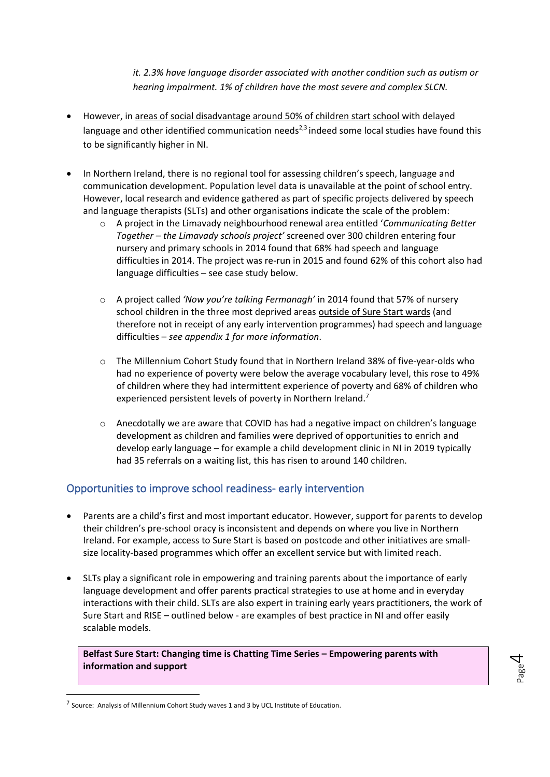*it. 2.3% have language disorder associated with another condition such as autism or hearing impairment. 1% of children have the most severe and complex SLCN.*

- However, in areas of social disadvantage around 50% of children start school with delayed language and other identified communication needs $^{2,3}$  indeed some local studies have found this to be significantly higher in NI.
- In Northern Ireland, there is no regional tool for assessing children's speech, language and communication development. Population level data is unavailable at the point of school entry. However, local research and evidence gathered as part of specific projects delivered by speech and language therapists (SLTs) and other organisations indicate the scale of the problem:
	- o A project in the Limavady neighbourhood renewal area entitled '*Communicating Better Together – the Limavady schools project'* screened over 300 children entering four nursery and primary schools in 2014 found that 68% had speech and language difficulties in 2014. The project was re-run in 2015 and found 62% of this cohort also had language difficulties – see case study below.
	- o A project called *'Now you're talking Fermanagh'* in 2014 found that 57% of nursery school children in the three most deprived areas outside of Sure Start wards (and therefore not in receipt of any early intervention programmes) had speech and language difficulties – *see appendix 1 for more information*.
	- o The Millennium Cohort Study found that in Northern Ireland 38% of five-year-olds who had no experience of poverty were below the average vocabulary level, this rose to 49% of children where they had intermittent experience of poverty and 68% of children who experienced persistent levels of poverty in Northern Ireland.<sup>7</sup>
	- o Anecdotally we are aware that COVID has had a negative impact on children's language development as children and families were deprived of opportunities to enrich and develop early language – for example a child development clinic in NI in 2019 typically had 35 referrals on a waiting list, this has risen to around 140 children.

### Opportunities to improve school readiness- early intervention

- Parents are a child's first and most important educator. However, support for parents to develop their children's pre-school oracy is inconsistent and depends on where you live in Northern Ireland. For example, access to Sure Start is based on postcode and other initiatives are smallsize locality-based programmes which offer an excellent service but with limited reach.
- SLTs play a significant role in empowering and training parents about the importance of early language development and offer parents practical strategies to use at home and in everyday interactions with their child. SLTs are also expert in training early years practitioners, the work of Sure Start and RISE – outlined below - are examples of best practice in NI and offer easily scalable models.

**Belfast Sure Start: Changing time is Chatting Time Series – Empowering parents with information and support**

Page  $\overline{\mathcal{A}}$ 

 $<sup>7</sup>$  Source: Analysis of Millennium Cohort Study waves 1 and 3 by UCL Institute of Education.</sup>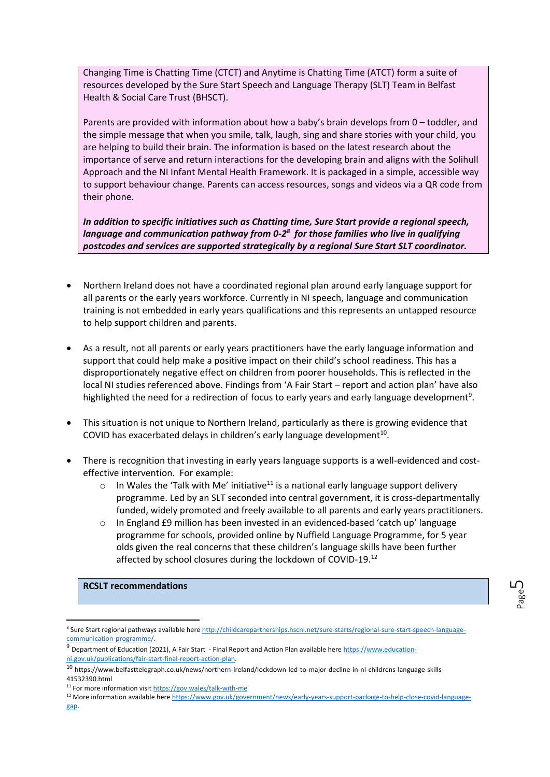Changing Time is Chatting Time (CTCT) and Anytime is Chatting Time (ATCT) form a suite of resources developed by the Sure Start Speech and Language Therapy (SLT) Team in Belfast Health & Social Care Trust (BHSCT).

Parents are provided with information about how a baby's brain develops from 0 – toddler, and the simple message that when you smile, talk, laugh, sing and share stories with your child, you are helping to build their brain. The information is based on the latest research about the importance of serve and return interactions for the developing brain and aligns with the Solihull Approach and the NI Infant Mental Health Framework. It is packaged in a simple, accessible way to support behaviour change. Parents can access resources, songs and videos via a QR code from their phone.

*In addition to specific initiatives such as Chatting time, Sure Start provide a regional speech, language and communication pathway from 0-2 8 for those families who live in qualifying postcodes and services are supported strategically by a regional Sure Start SLT coordinator.*

- Northern Ireland does not have a coordinated regional plan around early language support for all parents or the early years workforce. Currently in NI speech, language and communication training is not embedded in early years qualifications and this represents an untapped resource to help support children and parents.
- As a result, not all parents or early years practitioners have the early language information and support that could help make a positive impact on their child's school readiness. This has a disproportionately negative effect on children from poorer households. This is reflected in the local NI studies referenced above. Findings from 'A Fair Start – report and action plan' have also highlighted the need for a redirection of focus to early years and early language development<sup>9</sup>.
- This situation is not unique to Northern Ireland, particularly as there is growing evidence that COVID has exacerbated delays in children's early language development<sup>10</sup>.
- There is recognition that investing in early years language supports is a well-evidenced and costeffective intervention. For example:
	- $\circ$  In Wales the 'Talk with Me' initiative<sup>11</sup> is a national early language support delivery programme. Led by an SLT seconded into central government, it is cross-departmentally funded, widely promoted and freely available to all parents and early years practitioners.
	- $\circ$  In England £9 million has been invested in an evidenced-based 'catch up' language programme for schools, provided online by Nuffield Language Programme, for 5 year olds given the real concerns that these children's language skills have been further affected by school closures during the lockdown of COVID-19.<sup>12</sup>

### **RCSLT recommendations**

<sup>&</sup>lt;sup>8</sup> Sure Start regional pathways available here [http://childcarepartnerships.hscni.net/sure-starts/regional-sure-start-speech-language](http://childcarepartnerships.hscni.net/sure-starts/regional-sure-start-speech-language-communication-programme/)[communication-programme/.](http://childcarepartnerships.hscni.net/sure-starts/regional-sure-start-speech-language-communication-programme/)

 $9$  Department of Education (2021), A Fair Start - Final Report and Action Plan available here [https://www.education](https://www.education-ni.gov.uk/publications/fair-start-final-report-action-plan)[ni.gov.uk/publications/fair-start-final-report-action-plan.](https://www.education-ni.gov.uk/publications/fair-start-final-report-action-plan) 

<sup>10</sup> https://www.belfasttelegraph.co.uk/news/northern-ireland/lockdown-led-to-major-decline-in-ni-childrens-language-skills-41532390.html

<sup>&</sup>lt;sup>11</sup> For more information visi[t https://gov.wales/talk-with-me](https://gov.wales/talk-with-me)

<sup>&</sup>lt;sup>12</sup> More information available her[e https://www.gov.uk/government/news/early-years-support-package-to-help-close-covid-language](https://www.gov.uk/government/news/early-years-support-package-to-help-close-covid-language-gap)[gap.](https://www.gov.uk/government/news/early-years-support-package-to-help-close-covid-language-gap)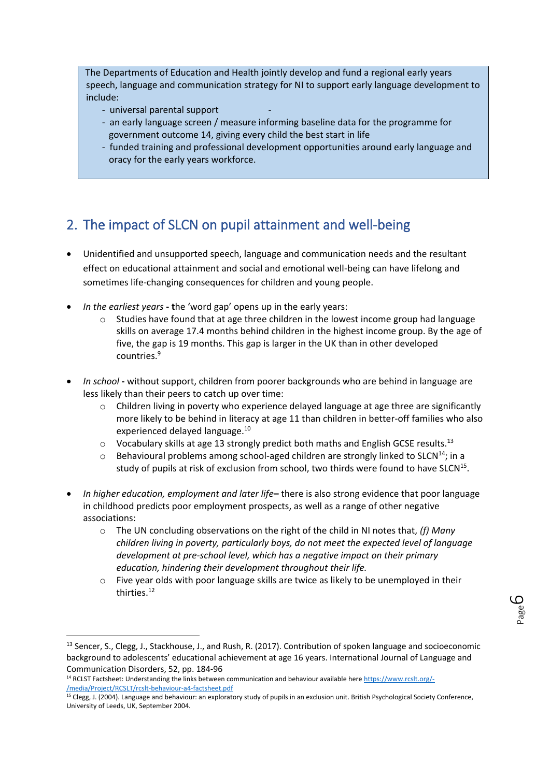The Departments of Education and Health jointly develop and fund a regional early years speech, language and communication strategy for NI to support early language development to include:

- universal parental support -
- an early language screen / measure informing baseline data for the programme for government outcome 14, giving every child the best start in life
- funded training and professional development opportunities around early language and oracy for the early years workforce.

# 2. The impact of SLCN on pupil attainment and well-being

- Unidentified and unsupported speech, language and communication needs and the resultant effect on educational attainment and social and emotional well-being can have lifelong and sometimes life-changing consequences for children and young people.
- *In the earliest years* **- t**he 'word gap' opens up in the early years:
	- $\circ$  Studies have found that at age three children in the lowest income group had language skills on average 17.4 months behind children in the highest income group. By the age of five, the gap is 19 months. This gap is larger in the UK than in other developed countries.<sup>9</sup>
- *In school* **-** without support, children from poorer backgrounds who are behind in language are less likely than their peers to catch up over time:
	- $\circ$  Children living in poverty who experience delayed language at age three are significantly more likely to be behind in literacy at age 11 than children in better-off families who also experienced delayed language.<sup>10</sup>
	- $\circ$  Vocabulary skills at age 13 strongly predict both maths and English GCSE results.<sup>13</sup>
	- $\circ$  Behavioural problems among school-aged children are strongly linked to SLCN<sup>14</sup>; in a study of pupils at risk of exclusion from school, two thirds were found to have SLCN<sup>15</sup>.
- *In higher education, employment and later life***–** there is also strong evidence that poor language in childhood predicts poor employment prospects, as well as a range of other negative associations:
	- o The UN concluding observations on the right of the child in NI notes that, *(f) Many children living in poverty, particularly boys, do not meet the expected level of language development at pre-school level, which has a negative impact on their primary education, hindering their development throughout their life.*
	- $\circ$  Five year olds with poor language skills are twice as likely to be unemployed in their thirties.<sup>12</sup>

<sup>&</sup>lt;sup>13</sup> Sencer, S., Clegg, J., Stackhouse, J., and Rush, R. (2017). Contribution of spoken language and socioeconomic background to adolescents' educational achievement at age 16 years. International Journal of Language and Communication Disorders, 52, pp. 184-96

<sup>&</sup>lt;sup>14</sup> RCLST Factsheet: Understanding the links between communication and behaviour available her[e https://www.rcslt.org/-](https://www.rcslt.org/-/media/Project/RCSLT/rcslt-behaviour-a4-factsheet.pdf) [/media/Project/RCSLT/rcslt-behaviour-a4-factsheet.pdf](https://www.rcslt.org/-/media/Project/RCSLT/rcslt-behaviour-a4-factsheet.pdf)

<sup>&</sup>lt;sup>15</sup> Clegg, J. (2004). Language and behaviour: an exploratory study of pupils in an exclusion unit. British Psychological Society Conference, University of Leeds, UK, September 2004.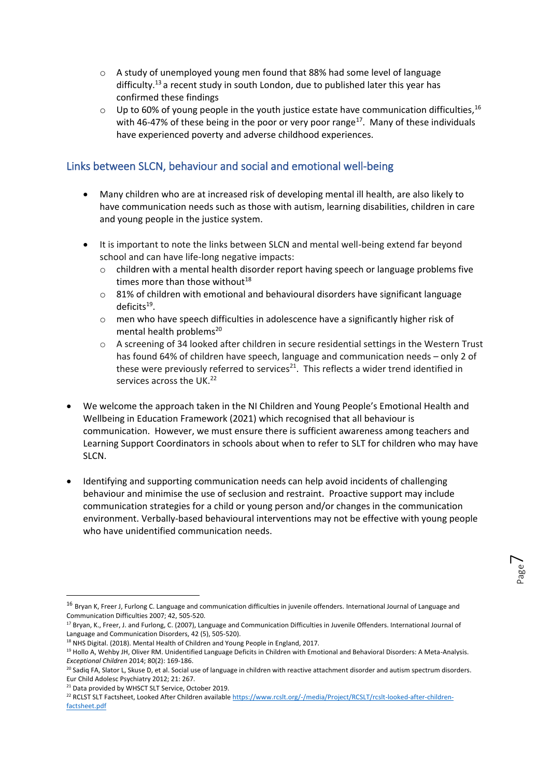- o A study of unemployed young men found that 88% had some level of language difficulty.<sup>13</sup> a recent study in south London, due to published later this year has confirmed these findings
- $\circ$  Up to 60% of young people in the youth justice estate have communication difficulties.<sup>16</sup> with 46-47% of these being in the poor or very poor range<sup>17</sup>. Many of these individuals have experienced poverty and adverse childhood experiences.

## Links between SLCN, behaviour and social and emotional well-being

- Many children who are at increased risk of developing mental ill health, are also likely to have communication needs such as those with autism, learning disabilities, children in care and young people in the justice system.
- It is important to note the links between SLCN and mental well-being extend far beyond school and can have life-long negative impacts:
	- $\circ$  children with a mental health disorder report having speech or language problems five times more than those without $^{18}$
	- $\circ$  81% of children with emotional and behavioural disorders have significant language deficits<sup>19</sup>.
	- $\circ$  men who have speech difficulties in adolescence have a significantly higher risk of mental health problems<sup>20</sup>
	- o A screening of 34 looked after children in secure residential settings in the Western Trust has found 64% of children have speech, language and communication needs – only 2 of these were previously referred to services $^{21}$ . This reflects a wider trend identified in services across the UK.<sup>22</sup>
- We welcome the approach taken in the NI Children and Young People's Emotional Health and Wellbeing in Education Framework (2021) which recognised that all behaviour is communication. However, we must ensure there is sufficient awareness among teachers and Learning Support Coordinators in schools about when to refer to SLT for children who may have SLCN.
- Identifying and supporting communication needs can help avoid incidents of challenging behaviour and minimise the use of seclusion and restraint. Proactive support may include communication strategies for a child or young person and/or changes in the communication environment. Verbally-based behavioural interventions may not be effective with young people who have unidentified communication needs.

Page  $\overline{\phantom{1}}$ 

<sup>&</sup>lt;sup>16</sup> Bryan K, Freer J, Furlong C. Language and communication difficulties in juvenile offenders. International Journal of Language and Communication Difficulties 2007; 42, 505-520.

<sup>&</sup>lt;sup>17</sup> Bryan, K., Freer, J. and Furlong, C. (2007), Language and Communication Difficulties in Juvenile Offenders. International Journal of Language and Communication Disorders, 42 (5), 505-520).

<sup>&</sup>lt;sup>18</sup> NHS Digital. (2018). Mental Health of Children and Young People in England, 2017.

<sup>&</sup>lt;sup>19</sup> Hollo A, Wehby JH, Oliver RM. Unidentified Language Deficits in Children with Emotional and Behavioral Disorders: A Meta-Analysis. *Exceptional Children* 2014; 80(2): 169-186.

<sup>&</sup>lt;sup>20</sup> Sadiq FA, Slator L, Skuse D, et al. Social use of language in children with reactive attachment disorder and autism spectrum disorders. Eur Child Adolesc Psychiatry 2012; 21: 267.

<sup>&</sup>lt;sup>21</sup> Data provided by WHSCT SLT Service, October 2019.

<sup>&</sup>lt;sup>22</sup> RCLST SLT Factsheet, Looked After Children available [https://www.rcslt.org/-/media/Project/RCSLT/rcslt-looked-after-children](https://www.rcslt.org/-/media/Project/RCSLT/rcslt-looked-after-children-factsheet.pdf)[factsheet.pdf](https://www.rcslt.org/-/media/Project/RCSLT/rcslt-looked-after-children-factsheet.pdf)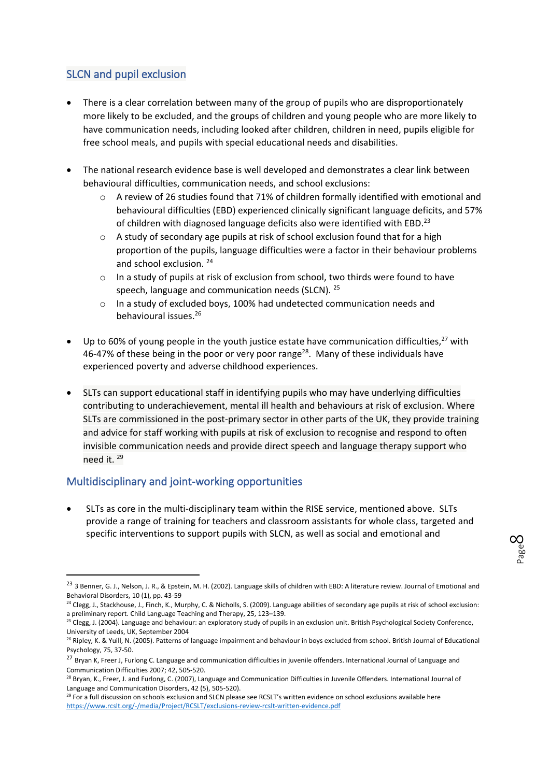## SLCN and pupil exclusion

- There is a clear correlation between many of the group of pupils who are disproportionately more likely to be excluded, and the groups of children and young people who are more likely to have communication needs, including looked after children, children in need, pupils eligible for free school meals, and pupils with special educational needs and disabilities.
- The national research evidence base is well developed and demonstrates a clear link between behavioural difficulties, communication needs, and school exclusions:
	- A review of 26 studies found that 71% of children formally identified with emotional and behavioural difficulties (EBD) experienced clinically significant language deficits, and 57% of children with diagnosed language deficits also were identified with EBD.<sup>23</sup>
	- o A study of secondary age pupils at risk of school exclusion found that for a high proportion of the pupils, language difficulties were a factor in their behaviour problems and school exclusion. <sup>24</sup>
	- o In a study of pupils at risk of exclusion from school, two thirds were found to have speech, language and communication needs (SLCN). <sup>25</sup>
	- o In a study of excluded boys, 100% had undetected communication needs and behavioural issues.<sup>26</sup>
- Up to 60% of young people in the youth justice estate have communication difficulties,  $27$  with 46-47% of these being in the poor or very poor range<sup>28</sup>. Many of these individuals have experienced poverty and adverse childhood experiences.
- SLTs can support educational staff in identifying pupils who may have underlying difficulties contributing to underachievement, mental ill health and behaviours at risk of exclusion. Where SLTs are commissioned in the post-primary sector in other parts of the UK, they provide training and advice for staff working with pupils at risk of exclusion to recognise and respond to often invisible communication needs and provide direct speech and language therapy support who need it. <sup>29</sup>

## Multidisciplinary and joint-working opportunities

• SLTs as core in the multi-disciplinary team within the RISE service, mentioned above. SLTs provide a range of training for teachers and classroom assistants for whole class, targeted and specific interventions to support pupils with SLCN, as well as social and emotional and

<sup>&</sup>lt;sup>23</sup> 3 Benner, G. J., Nelson, J. R., & Epstein, M. H. (2002). Language skills of children with EBD: A literature review. Journal of Emotional and Behavioral Disorders, 10 (1), pp. 43-59

<sup>&</sup>lt;sup>24</sup> Clegg, J., Stackhouse, J., Finch, K., Murphy, C. & Nicholls, S. (2009). Language abilities of secondary age pupils at risk of school exclusion: a preliminary report. Child Language Teaching and Therapy, 25, 123–139.

<sup>&</sup>lt;sup>25</sup> Clegg, J. (2004). Language and behaviour: an exploratory study of pupils in an exclusion unit. British Psychological Society Conference, University of Leeds, UK, September 2004

<sup>&</sup>lt;sup>26</sup> Ripley, K. & Yuill, N. (2005). Patterns of language impairment and behaviour in boys excluded from school. British Journal of Educational Psychology, 75, 37-50.

<sup>&</sup>lt;sup>27</sup> Bryan K, Freer J, Furlong C. Language and communication difficulties in juvenile offenders. International Journal of Language and Communication Difficulties 2007; 42, 505-520.

<sup>&</sup>lt;sup>28</sup> Bryan, K., Freer, J. and Furlong, C. (2007), Language and Communication Difficulties in Juvenile Offenders. International Journal of Language and Communication Disorders, 42 (5), 505-520).

<sup>&</sup>lt;sup>29</sup> For a full discussion on schools exclusion and SLCN please see RCSLT's written evidence on school exclusions available here <https://www.rcslt.org/-/media/Project/RCSLT/exclusions-review-rcslt-written-evidence.pdf>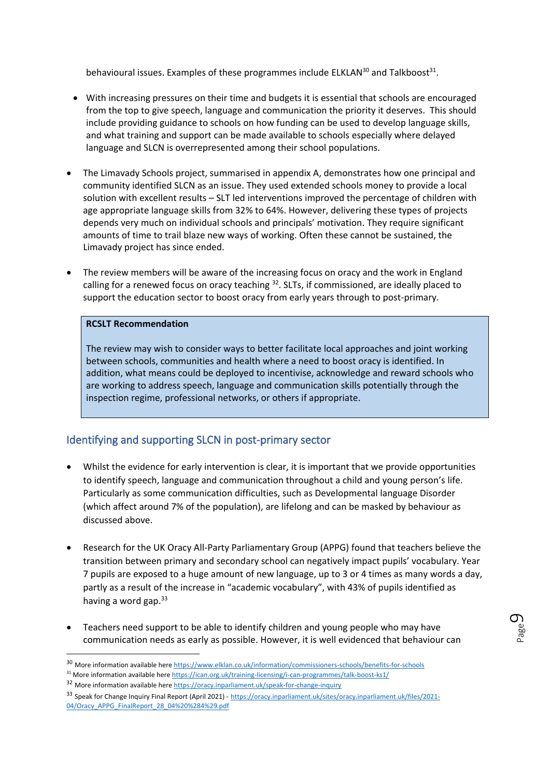behavioural issues. Examples of these programmes include ELKLAN<sup>30</sup> and Talkboost<sup>31</sup>.

- With increasing pressures on their time and budgets it is essential that schools are encouraged from the top to give speech, language and communication the priority it deserves. This should include providing guidance to schools on how funding can be used to develop language skills, and what training and support can be made available to schools especially where delayed language and SLCN is overrepresented among their school populations.
- The Limavady Schools project, summarised in appendix A, demonstrates how one principal and community identified SLCN as an issue. They used extended schools money to provide a local solution with excellent results – SLT led interventions improved the percentage of children with age appropriate language skills from 32% to 64%. However, delivering these types of projects depends very much on individual schools and principals' motivation. They require significant amounts of time to trail blaze new ways of working. Often these cannot be sustained, the Limavady project has since ended.
- The review members will be aware of the increasing focus on oracy and the work in England calling for a renewed focus on oracy teaching  $32$ . SLTs, if commissioned, are ideally placed to support the education sector to boost oracy from early years through to post-primary.

#### **RCSLT Recommendation**

The review may wish to consider ways to better facilitate local approaches and joint working between schools, communities and health where a need to boost oracy is identified. In addition, what means could be deployed to incentivise, acknowledge and reward schools who are working to address speech, language and communication skills potentially through the inspection regime, professional networks, or others if appropriate.

## Identifying and supporting SLCN in post-primary sector

- Whilst the evidence for early intervention is clear, it is important that we provide opportunities to identify speech, language and communication throughout a child and young person's life. Particularly as some communication difficulties, such as Developmental language Disorder (which affect around 7% of the population), are lifelong and can be masked by behaviour as discussed above.
- Research for the UK Oracy All-Party Parliamentary Group (APPG) found that teachers believe the transition between primary and secondary school can negatively impact pupils' vocabulary. Year 7 pupils are exposed to a huge amount of new language, up to 3 or 4 times as many words a day, partly as a result of the increase in "academic vocabulary", with 43% of pupils identified as having a word gap. $33$
- Teachers need support to be able to identify children and young people who may have communication needs as early as possible. However, it is well evidenced that behaviour can

<sup>30</sup> More information available her[e https://www.elklan.co.uk/information/commissioners-schools/benefits-for-schools](https://www.elklan.co.uk/information/commissioners-schools/benefits-for-schools)

<sup>31</sup> More information available her[e https://ican.org.uk/training-licensing/i-can-programmes/talk-boost-ks1/](https://ican.org.uk/training-licensing/i-can-programmes/talk-boost-ks1/)

<sup>32</sup> More information available her[e https://oracy.inparliament.uk/speak-for-change-inquiry](https://oracy.inparliament.uk/speak-for-change-inquiry)

<sup>33</sup> Speak for Change Inquiry Final Report (April 2021) - [https://oracy.inparliament.uk/sites/oracy.inparliament.uk/files/2021-](https://oracy.inparliament.uk/sites/oracy.inparliament.uk/files/2021-04/Oracy_APPG_FinalReport_28_04%20%284%29.pdf) [04/Oracy\\_APPG\\_FinalReport\\_28\\_04%20%284%29.pdf](https://oracy.inparliament.uk/sites/oracy.inparliament.uk/files/2021-04/Oracy_APPG_FinalReport_28_04%20%284%29.pdf)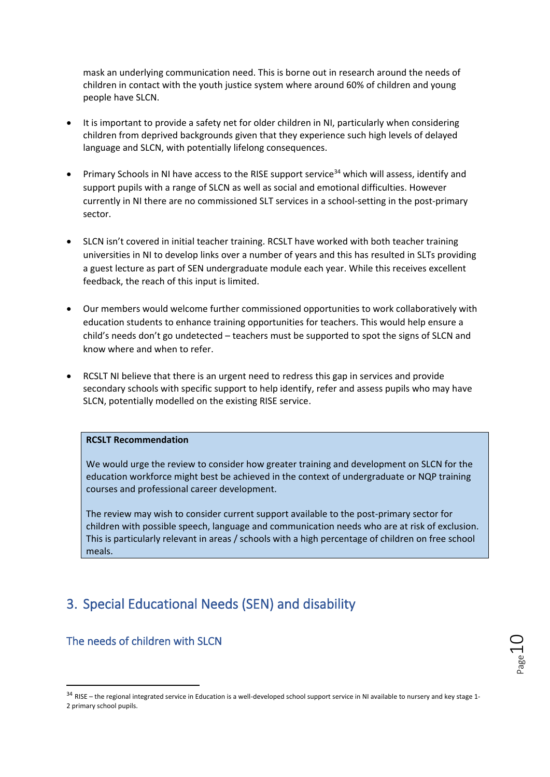mask an underlying communication need. This is borne out in research around the needs of children in contact with the youth justice system where around 60% of children and young people have SLCN.

- It is important to provide a safety net for older children in NI, particularly when considering children from deprived backgrounds given that they experience such high levels of delayed language and SLCN, with potentially lifelong consequences.
- Primary Schools in NI have access to the RISE support service<sup>34</sup> which will assess, identify and support pupils with a range of SLCN as well as social and emotional difficulties. However currently in NI there are no commissioned SLT services in a school-setting in the post-primary sector.
- SLCN isn't covered in initial teacher training. RCSLT have worked with both teacher training universities in NI to develop links over a number of years and this has resulted in SLTs providing a guest lecture as part of SEN undergraduate module each year. While this receives excellent feedback, the reach of this input is limited.
- Our members would welcome further commissioned opportunities to work collaboratively with education students to enhance training opportunities for teachers. This would help ensure a child's needs don't go undetected – teachers must be supported to spot the signs of SLCN and know where and when to refer.
- RCSLT NI believe that there is an urgent need to redress this gap in services and provide secondary schools with specific support to help identify, refer and assess pupils who may have SLCN, potentially modelled on the existing RISE service.

#### **RCSLT Recommendation**

We would urge the review to consider how greater training and development on SLCN for the education workforce might best be achieved in the context of undergraduate or NQP training courses and professional career development.

The review may wish to consider current support available to the post-primary sector for children with possible speech, language and communication needs who are at risk of exclusion. This is particularly relevant in areas / schools with a high percentage of children on free school meals.

# 3. Special Educational Needs (SEN) and disability

### The needs of children with SLCN

<sup>&</sup>lt;sup>34</sup> RISE – the regional integrated service in Education is a well-developed school support service in NI available to nursery and key stage 1-2 primary school pupils.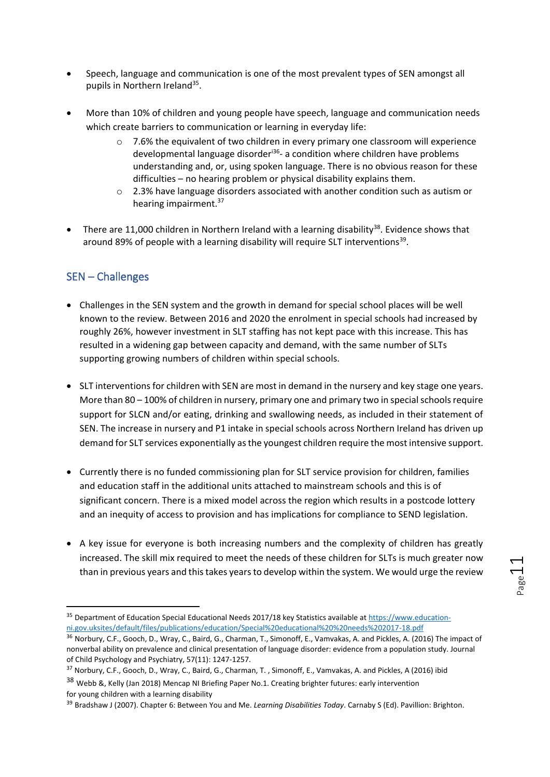- Speech, language and communication is one of the most prevalent types of SEN amongst all pupils in Northern Ireland<sup>35</sup>.
- More than 10% of children and young people have speech, language and communication needs which create barriers to communication or learning in everyday life:
	- $\circ$  7.6% the equivalent of two children in every primary one classroom will experience developmental language disorder<sup>i36</sup>- a condition where children have problems understanding and, or, using spoken language. There is no obvious reason for these difficulties – no hearing problem or physical disability explains them.
	- $\circ$  2.3% have language disorders associated with another condition such as autism or hearing impairment.<sup>37</sup>
- There are 11,000 children in Northern Ireland with a learning disability<sup>38</sup>. Evidence shows that around 89% of people with a learning disability will require SLT interventions<sup>39</sup>.

## SEN – Challenges

- Challenges in the SEN system and the growth in demand for special school places will be well known to the review. Between 2016 and 2020 the enrolment in special schools had increased by roughly 26%, however investment in SLT staffing has not kept pace with this increase. This has resulted in a widening gap between capacity and demand, with the same number of SLTs supporting growing numbers of children within special schools.
- SLT interventions for children with SEN are most in demand in the nursery and key stage one years. More than 80 – 100% of children in nursery, primary one and primary two in special schools require support for SLCN and/or eating, drinking and swallowing needs, as included in their statement of SEN. The increase in nursery and P1 intake in special schools across Northern Ireland has driven up demand for SLT services exponentially as the youngest children require the most intensive support.
- Currently there is no funded commissioning plan for SLT service provision for children, families and education staff in the additional units attached to mainstream schools and this is of significant concern. There is a mixed model across the region which results in a postcode lottery and an inequity of access to provision and has implications for compliance to SEND legislation.
- A key issue for everyone is both increasing numbers and the complexity of children has greatly increased. The skill mix required to meet the needs of these children for SLTs is much greater now than in previous years and this takes years to develop within the system. We would urge the review

<sup>&</sup>lt;sup>35</sup> Department of Education Special Educational Needs 2017/18 key Statistics available at [https://www.education](https://www.education-ni.gov.uksites/default/files/publications/education/Special%20educational%20%20needs%202017-18.pdf)[ni.gov.uksites/default/files/publications/education/Special%20educational%20%20needs%202017-18.pdf](https://www.education-ni.gov.uksites/default/files/publications/education/Special%20educational%20%20needs%202017-18.pdf)

<sup>&</sup>lt;sup>36</sup> Norbury, C.F., Gooch, D., Wray, C., Baird, G., Charman, T., Simonoff, E., Vamvakas, A. and Pickles, A. (2016) The impact of nonverbal ability on prevalence and clinical presentation of language disorder: evidence from a population study. Journal of Child Psychology and Psychiatry, 57(11): 1247-1257.

<sup>37</sup> Norbury, C.F., Gooch, D., Wray, C., Baird, G., Charman, T., Simonoff, E., Vamvakas, A. and Pickles, A (2016) ibid

<sup>38</sup> Webb &, Kelly (Jan 2018) Mencap NI Briefing Paper No.1. Creating brighter futures: early intervention for young children with a learning disability

<sup>39</sup> Bradshaw J (2007). Chapter 6: Between You and Me. *Learning Disabilities Today*. Carnaby S (Ed). Pavillion: Brighton.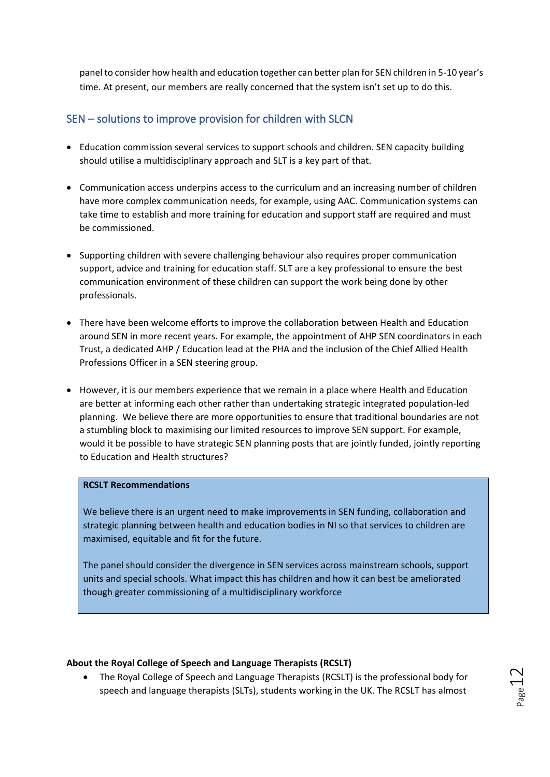panel to consider how health and education together can better plan for SEN children in 5-10 year's time. At present, our members are really concerned that the system isn't set up to do this.

## SEN – solutions to improve provision for children with SLCN

- Education commission several services to support schools and children. SEN capacity building should utilise a multidisciplinary approach and SLT is a key part of that.
- Communication access underpins access to the curriculum and an increasing number of children have more complex communication needs, for example, using AAC. Communication systems can take time to establish and more training for education and support staff are required and must be commissioned.
- Supporting children with severe challenging behaviour also requires proper communication support, advice and training for education staff. SLT are a key professional to ensure the best communication environment of these children can support the work being done by other professionals.
- There have been welcome efforts to improve the collaboration between Health and Education around SEN in more recent years. For example, the appointment of AHP SEN coordinators in each Trust, a dedicated AHP / Education lead at the PHA and the inclusion of the Chief Allied Health Professions Officer in a SEN steering group.
- However, it is our members experience that we remain in a place where Health and Education are better at informing each other rather than undertaking strategic integrated population-led planning. We believe there are more opportunities to ensure that traditional boundaries are not a stumbling block to maximising our limited resources to improve SEN support. For example, would it be possible to have strategic SEN planning posts that are jointly funded, jointly reporting to Education and Health structures?

#### **RCSLT Recommendations**

We believe there is an urgent need to make improvements in SEN funding, collaboration and strategic planning between health and education bodies in NI so that services to children are maximised, equitable and fit for the future.

The panel should consider the divergence in SEN services across mainstream schools, support units and special schools. What impact this has children and how it can best be ameliorated though greater commissioning of a multidisciplinary workforce

### **About the Royal College of Speech and Language Therapists (RCSLT)**

• The Royal College of Speech and Language Therapists (RCSLT) is the professional body for speech and language therapists (SLTs), students working in the UK. The RCSLT has almost

 $_{\tiny{\text{Page}}}$ 12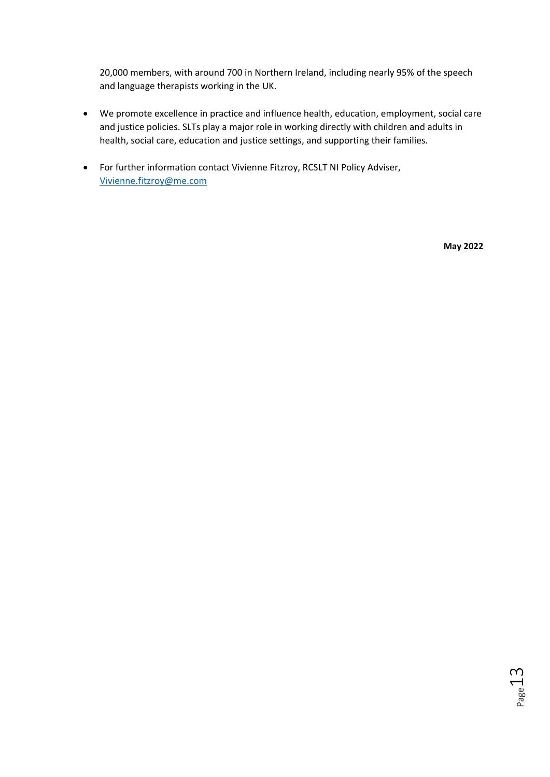20,000 members, with around 700 in Northern Ireland, including nearly 95% of the speech and language therapists working in the UK.

- We promote excellence in practice and influence health, education, employment, social care and justice policies. SLTs play a major role in working directly with children and adults in health, social care, education and justice settings, and supporting their families.
- For further information contact Vivienne Fitzroy, RCSLT NI Policy Adviser, [Vivienne.fitzroy@me.com](mailto:Vivienne.fitzroy@me.com)

**May 2022**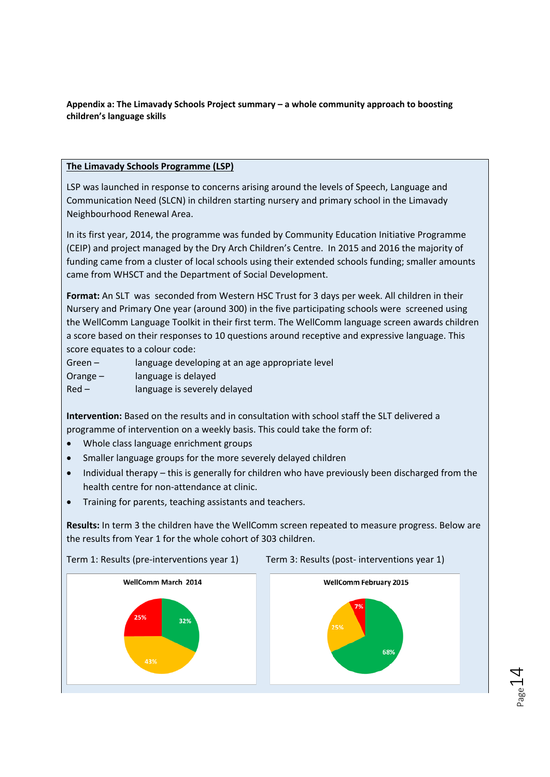**Appendix a: The Limavady Schools Project summary – a whole community approach to boosting children's language skills** 

#### **The Limavady Schools Programme (LSP)**

LSP was launched in response to concerns arising around the levels of Speech, Language and Communication Need (SLCN) in children starting nursery and primary school in the Limavady Neighbourhood Renewal Area.

In its first year, 2014, the programme was funded by Community Education Initiative Programme (CEIP) and project managed by the Dry Arch Children's Centre. In 2015 and 2016 the majority of funding came from a cluster of local schools using their extended schools funding; smaller amounts came from WHSCT and the Department of Social Development.

**Format:** An SLT was seconded from Western HSC Trust for 3 days per week. All children in their Nursery and Primary One year (around 300) in the five participating schools were screened using the WellComm Language Toolkit in their first term. The WellComm language screen awards children a score based on their responses to 10 questions around receptive and expressive language. This score equates to a colour code:

Green – language developing at an age appropriate level Orange – language is delayed Red – language is severely delayed

**Intervention:** Based on the results and in consultation with school staff the SLT delivered a programme of intervention on a weekly basis. This could take the form of:

- Whole class language enrichment groups
- Smaller language groups for the more severely delayed children
- Individual therapy this is generally for children who have previously been discharged from the health centre for non-attendance at clinic.
- Training for parents, teaching assistants and teachers.

**Results:** In term 3 the children have the WellComm screen repeated to measure progress. Below are the results from Year 1 for the whole cohort of 303 children.



 $P_{\rm age}14$